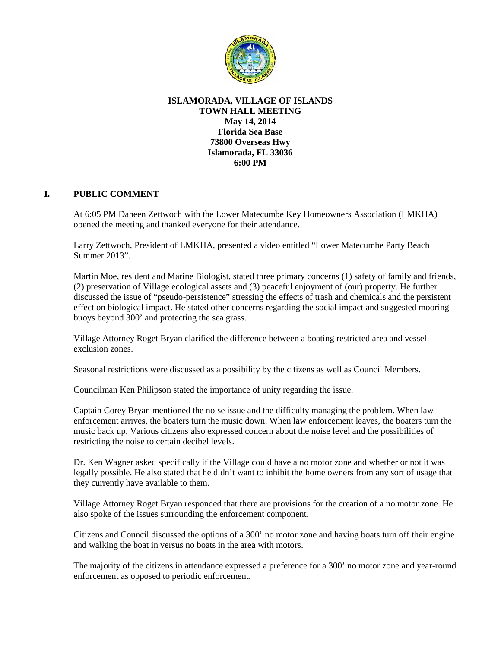

## **ISLAMORADA, VILLAGE OF ISLANDS TOWN HALL MEETING May 14, 2014 Florida Sea Base 73800 Overseas Hwy Islamorada, FL 33036 6:00 PM**

## **I. PUBLIC COMMENT**

At 6:05 PM Daneen Zettwoch with the Lower Matecumbe Key Homeowners Association (LMKHA) opened the meeting and thanked everyone for their attendance.

Larry Zettwoch, President of LMKHA, presented a video entitled "Lower Matecumbe Party Beach Summer 2013".

Martin Moe, resident and Marine Biologist, stated three primary concerns (1) safety of family and friends, (2) preservation of Village ecological assets and (3) peaceful enjoyment of (our) property. He further discussed the issue of "pseudo-persistence" stressing the effects of trash and chemicals and the persistent effect on biological impact. He stated other concerns regarding the social impact and suggested mooring buoys beyond 300' and protecting the sea grass.

Village Attorney Roget Bryan clarified the difference between a boating restricted area and vessel exclusion zones.

Seasonal restrictions were discussed as a possibility by the citizens as well as Council Members.

Councilman Ken Philipson stated the importance of unity regarding the issue.

Captain Corey Bryan mentioned the noise issue and the difficulty managing the problem. When law enforcement arrives, the boaters turn the music down. When law enforcement leaves, the boaters turn the music back up. Various citizens also expressed concern about the noise level and the possibilities of restricting the noise to certain decibel levels.

Dr. Ken Wagner asked specifically if the Village could have a no motor zone and whether or not it was legally possible. He also stated that he didn't want to inhibit the home owners from any sort of usage that they currently have available to them.

Village Attorney Roget Bryan responded that there are provisions for the creation of a no motor zone. He also spoke of the issues surrounding the enforcement component.

Citizens and Council discussed the options of a 300' no motor zone and having boats turn off their engine and walking the boat in versus no boats in the area with motors.

The majority of the citizens in attendance expressed a preference for a 300' no motor zone and year-round enforcement as opposed to periodic enforcement.